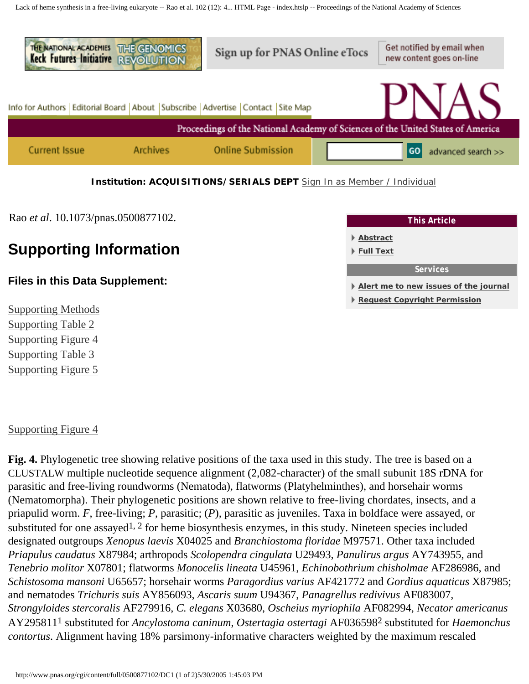<span id="page-0-1"></span>Lack of heme synthesis in a free-living eukaryote -- Rao et al. 102 (12): 4... HTML Page - index.htslp -- Proceedings of the National Academy of Sciences



Rao *et al*. 10.1073/pnas.0500877102.

# **Supporting Information**

## **Files in this Data Supplement:**

[Supporting Methods](#page-2-0) [Supporting Table 2](http://www.pnas.org/cgi/content/full/0500877102/DC1/2) [Supporting Figure 4](#page-0-0) [Supporting Table 3](http://www.pnas.org/cgi/content/full/0500877102/DC1/4) [Supporting Figure 5](#page-1-0)

<span id="page-0-0"></span>[Supporting Figure 4](http://www.pnas.org/cgi/data/0500877102/DC1/3)



**[Request Copyright Permission](http://www.pnas.org/misc/rightperm.shtml)**

**Fig. 4.** Phylogenetic tree showing relative positions of the taxa used in this study. The tree is based on a CLUSTALW multiple nucleotide sequence alignment (2,082-character) of the small subunit 18S rDNA for parasitic and free-living roundworms (Nematoda), flatworms (Platyhelminthes), and horsehair worms (Nematomorpha). Their phylogenetic positions are shown relative to free-living chordates, insects, and a priapulid worm. *F*, free-living; *P*, parasitic; (*P*), parasitic as juveniles. Taxa in boldface were assayed, or substituted for one assayed<sup>1, 2</sup> for heme biosynthesis enzymes, in this study. Nineteen species included designated outgroups *Xenopus laevis* X04025 and *Branchiostoma floridae* M97571. Other taxa included *Priapulus caudatus* X87984; arthropods *Scolopendra cingulata* U29493, *Panulirus argus* AY743955, and *Tenebrio molitor* X07801; flatworms *Monocelis lineata* U45961, *Echinobothrium chisholmae* AF286986, and *Schistosoma mansoni* U65657; horsehair worms *Paragordius varius* AF421772 and *Gordius aquaticus* X87985; and nematodes *Trichuris suis* AY856093, *Ascaris suum* U94367, *Panagrellus redivivus* AF083007, *Strongyloides stercoralis* AF279916, *C. elegans* X03680, *Oscheius myriophila* AF082994, *Necator americanus* AY2958111 substituted for *Ancylostoma caninum*, *Ostertagia ostertagi* AF0365982 substituted for *Haemonchus contortus*. Alignment having 18% parsimony-informative characters weighted by the maximum rescaled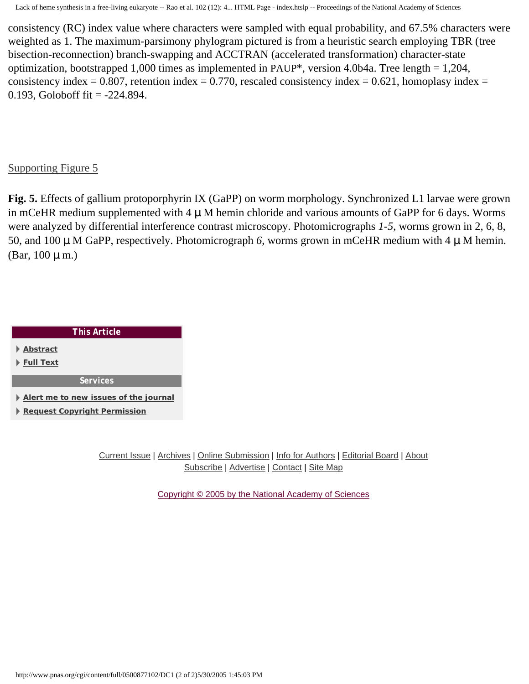consistency (RC) index value where characters were sampled with equal probability, and 67.5% characters were weighted as 1. The maximum-parsimony phylogram pictured is from a heuristic search employing TBR (tree bisection-reconnection) branch-swapping and ACCTRAN (accelerated transformation) character-state optimization, bootstrapped 1,000 times as implemented in PAUP\*, version 4.0b4a. Tree length = 1,204, consistency index = 0.807, retention index = 0.770, rescaled consistency index = 0.621, homoplasy index = 0.193, Goloboff fit  $= -224.894$ .

### <span id="page-1-0"></span>[Supporting Figure 5](http://www.pnas.org/cgi/data/0500877102/DC1/5)

**Fig. 5.** Effects of gallium protoporphyrin IX (GaPP) on worm morphology. Synchronized L1 larvae were grown in mCeHR medium supplemented with  $4 \mu$  M hemin chloride and various amounts of GaPP for 6 days. Worms were analyzed by differential interference contrast microscopy. Photomicrographs *1-5*, worms grown in 2, 6, 8, 50, and 100 µ M GaPP, respectively. Photomicrograph *6*, worms grown in mCeHR medium with 4 µ M hemin. (Bar,  $100 \mu$  m.)

| <b>This Article</b>                   |  |  |  |  |
|---------------------------------------|--|--|--|--|
| ⊩ Abstract                            |  |  |  |  |
| ⊩ Full Text                           |  |  |  |  |
| Services                              |  |  |  |  |
| Alert me to new issues of the journal |  |  |  |  |
| <b>Request Copyright Permission</b>   |  |  |  |  |

[Current Issue](http://www.pnas.org/current.shtml) | [Archives](http://www.pnas.org/contents-by-date.0.shtml) | [Online Submission](http://www.pnas.org/misc/onlinesubmission.shtml) | [Info for Authors](http://www.pnas.org/misc/iforc.shtml) | [Editorial Board](http://www.pnas.org/misc/masthead.shtml) | [About](http://www.pnas.org/misc/about.shtml) [Subscribe](http://www.pnas.org/subscriptions/) | [Advertise](http://www.pnas.org/misc/about.shtml#advertising) | [Contact](http://www.pnas.org/cgi/feedback) | [Site Map](http://www.pnas.org/misc/sitemap.shtml)

[Copyright © 2005 by the National Academy of Sciences](http://www.pnas.org/misc/terms.shtml)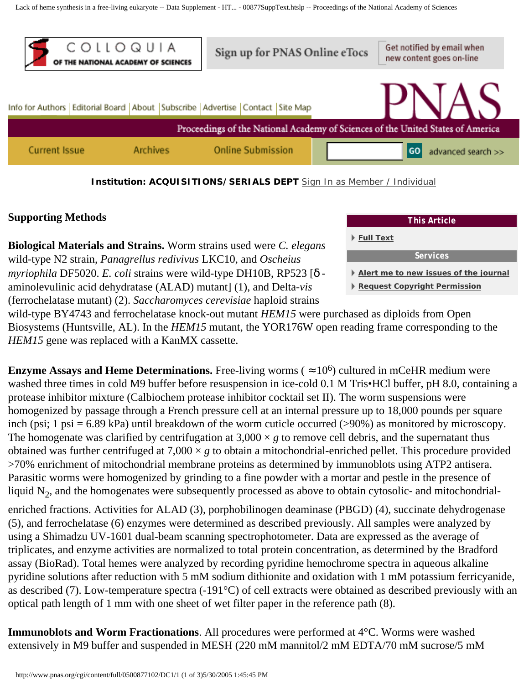<span id="page-2-0"></span>Lack of heme synthesis in a free-living eukaryote -- Data Supplement - HT... - 00877SuppText.htslp -- Proceedings of the National Academy of Sciences



#### **Institution: ACQUISITIONS/SERIALS DEPT** [Sign In as Member / Individual](http://www.pnas.org/cgi/login?uri=%2Fcgi%2Fcontent%2Ffull%2F0500877102%2FDC1%2F1)

## **Supporting Methods**

**Biological Materials and Strains.** Worm strains used were *C. elegans* wild-type N2 strain, *Panagrellus redivivus* LKC10, and *Oscheius myriophila* DF5020. *E. coli* strains were wild-type DH10B, RP523 [δ aminolevulinic acid dehydratase (ALAD) mutant] (1), and Delta-*vis* (ferrochelatase mutant) (2). *Saccharomyces cerevisiae* haploid strains



wild-type BY4743 and ferrochelatase knock-out mutant *HEM15* were purchased as diploids from Open Biosystems (Huntsville, AL). In the *HEM15* mutant, the YOR176W open reading frame corresponding to the *HEM15* gene was replaced with a KanMX cassette.

**Enzyme Assays and Heme Determinations.** Free-living worms ( $\approx 10^6$ ) cultured in mCeHR medium were washed three times in cold M9 buffer before resuspension in ice-cold 0.1 M Tris•HCl buffer, pH 8.0, containing a protease inhibitor mixture (Calbiochem protease inhibitor cocktail set II). The worm suspensions were homogenized by passage through a French pressure cell at an internal pressure up to 18,000 pounds per square inch (psi; 1 psi = 6.89 kPa) until breakdown of the worm cuticle occurred (>90%) as monitored by microscopy. The homogenate was clarified by centrifugation at  $3,000 \times g$  to remove cell debris, and the supernatant thus obtained was further centrifuged at  $7,000 \times g$  to obtain a mitochondrial-enriched pellet. This procedure provided >70% enrichment of mitochondrial membrane proteins as determined by immunoblots using ATP2 antisera. Parasitic worms were homogenized by grinding to a fine powder with a mortar and pestle in the presence of liquid  $N<sub>2</sub>$ , and the homogenates were subsequently processed as above to obtain cytosolic- and mitochondrialenriched fractions. Activities for ALAD (3), porphobilinogen deaminase (PBGD) (4), succinate dehydrogenase (5), and ferrochelatase (6) enzymes were determined as described previously. All samples were analyzed by

using a Shimadzu UV-1601 dual-beam scanning spectrophotometer. Data are expressed as the average of triplicates, and enzyme activities are normalized to total protein concentration, as determined by the Bradford assay (BioRad). Total hemes were analyzed by recording pyridine hemochrome spectra in aqueous alkaline pyridine solutions after reduction with 5 mM sodium dithionite and oxidation with 1 mM potassium ferricyanide, as described (7). Low-temperature spectra (-191°C) of cell extracts were obtained as described previously with an optical path length of 1 mm with one sheet of wet filter paper in the reference path (8).

**Immunoblots and Worm Fractionations**. All procedures were performed at 4°C. Worms were washed extensively in M9 buffer and suspended in MESH (220 mM mannitol/2 mM EDTA/70 mM sucrose/5 mM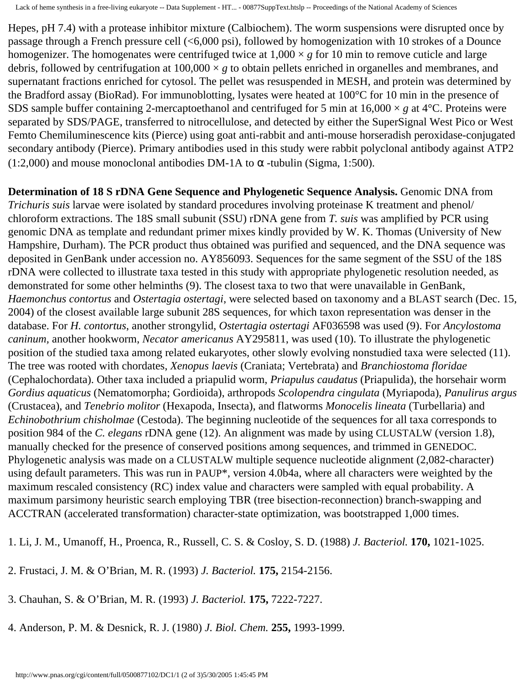Hepes, pH 7.4) with a protease inhibitor mixture (Calbiochem). The worm suspensions were disrupted once by passage through a French pressure cell (<6,000 psi), followed by homogenization with 10 strokes of a Dounce homogenizer. The homogenates were centrifuged twice at  $1,000 \times g$  for 10 min to remove cuticle and large debris, followed by centrifugation at  $100,000 \times g$  to obtain pellets enriched in organelles and membranes, and supernatant fractions enriched for cytosol. The pellet was resuspended in MESH, and protein was determined by the Bradford assay (BioRad). For immunoblotting, lysates were heated at 100°C for 10 min in the presence of SDS sample buffer containing 2-mercaptoethanol and centrifuged for 5 min at  $16,000 \times g$  at  $4^{\circ}$ C. Proteins were separated by SDS/PAGE, transferred to nitrocellulose, and detected by either the SuperSignal West Pico or West Femto Chemiluminescence kits (Pierce) using goat anti-rabbit and anti-mouse horseradish peroxidase-conjugated secondary antibody (Pierce). Primary antibodies used in this study were rabbit polyclonal antibody against ATP2 (1:2,000) and mouse monoclonal antibodies DM-1A to  $\alpha$  -tubulin (Sigma, 1:500).

**Determination of 18 S rDNA Gene Sequence and Phylogenetic Sequence Analysis.** Genomic DNA from *Trichuris suis* larvae were isolated by standard procedures involving proteinase K treatment and phenol/ chloroform extractions. The 18S small subunit (SSU) rDNA gene from *T. suis* was amplified by PCR using genomic DNA as template and redundant primer mixes kindly provided by W. K. Thomas (University of New Hampshire, Durham). The PCR product thus obtained was purified and sequenced, and the DNA sequence was deposited in GenBank under accession no. AY856093. Sequences for the same segment of the SSU of the 18S rDNA were collected to illustrate taxa tested in this study with appropriate phylogenetic resolution needed, as demonstrated for some other helminths (9). The closest taxa to two that were unavailable in GenBank, *Haemonchus contortus* and *Ostertagia ostertagi*, were selected based on taxonomy and a BLAST search (Dec. 15, 2004) of the closest available large subunit 28S sequences, for which taxon representation was denser in the database. For *H. contortus*, another strongylid, *Ostertagia ostertagi* AF036598 was used (9). For *Ancylostoma caninum,* another hookworm, *Necator americanus* AY295811, was used (10). To illustrate the phylogenetic position of the studied taxa among related eukaryotes, other slowly evolving nonstudied taxa were selected (11). The tree was rooted with chordates, *Xenopus laevis* (Craniata; Vertebrata) and *Branchiostoma floridae* (Cephalochordata). Other taxa included a priapulid worm, *Priapulus caudatus* (Priapulida), the horsehair worm *Gordius aquaticus* (Nematomorpha; Gordioida), arthropods *Scolopendra cingulata* (Myriapoda), *Panulirus argus* (Crustacea), and *Tenebrio molitor* (Hexapoda, Insecta), and flatworms *Monocelis lineata* (Turbellaria) and *Echinobothrium chisholmae* (Cestoda). The beginning nucleotide of the sequences for all taxa corresponds to position 984 of the *C. elegans* rDNA gene (12). An alignment was made by using CLUSTALW (version 1.8), manually checked for the presence of conserved positions among sequences, and trimmed in GENEDOC. Phylogenetic analysis was made on a CLUSTALW multiple sequence nucleotide alignment (2,082-character) using default parameters. This was run in PAUP\*, version 4.0b4a, where all characters were weighted by the maximum rescaled consistency (RC) index value and characters were sampled with equal probability. A maximum parsimony heuristic search employing TBR (tree bisection-reconnection) branch-swapping and ACCTRAN (accelerated transformation) character-state optimization, was bootstrapped 1,000 times.

1. Li, J. M., Umanoff, H., Proenca, R., Russell, C. S. & Cosloy, S. D. (1988) *J. Bacteriol.* **170,** 1021-1025.

- 2. Frustaci, J. M. & O'Brian, M. R. (1993) *J. Bacteriol.* **175,** 2154-2156.
- 3. Chauhan, S. & O'Brian, M. R. (1993) *J. Bacteriol.* **175,** 7222-7227.
- 4. Anderson, P. M. & Desnick, R. J. (1980) *J. Biol. Chem.* **255,** 1993-1999.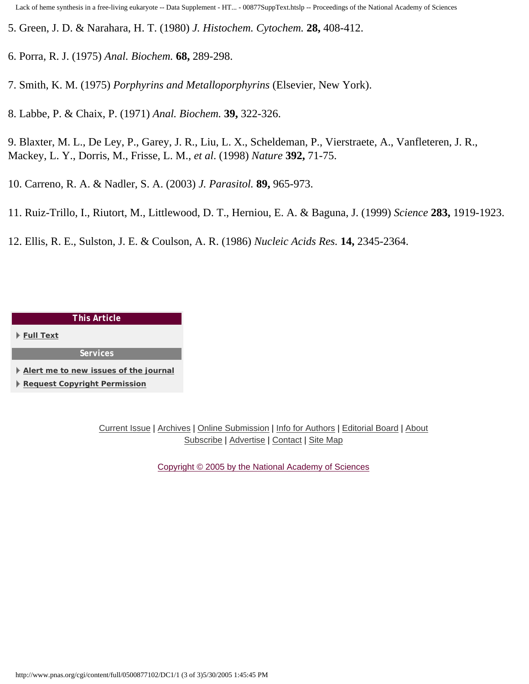- 5. Green, J. D. & Narahara, H. T. (1980) *J. Histochem. Cytochem.* **28,** 408-412.
- 6. Porra, R. J. (1975) *Anal. Biochem.* **68,** 289-298.
- 7. Smith, K. M. (1975) *Porphyrins and Metalloporphyrins* (Elsevier, New York).
- 8. Labbe, P. & Chaix, P. (1971) *Anal. Biochem.* **39,** 322-326.
- 9. Blaxter, M. L., De Ley, P., Garey, J. R., Liu, L. X., Scheldeman, P., Vierstraete, A., Vanfleteren, J. R., Mackey, L. Y., Dorris, M., Frisse, L. M., *et al*. (1998) *Nature* **392,** 71-75.
- 10. Carreno, R. A. & Nadler, S. A. (2003) *J. Parasitol.* **89,** 965-973.
- 11. Ruiz-Trillo, I., Riutort, M., Littlewood, D. T., Herniou, E. A. & Baguna, J. (1999) *Science* **283,** 1919-1923.
- 12. Ellis, R. E., Sulston, J. E. & Coulson, A. R. (1986) *Nucleic Acids Res.* **14,** 2345-2364.

#### *This Article*

**[Full Text](#page-0-1)**

*Services*

**[Alert me to new issues of the journal](http://www.pnas.org/cgi/alerts/etoc)**

**[Request Copyright Permission](http://www.pnas.org/misc/rightperm.shtml)**

[Current Issue](http://www.pnas.org/current.shtml) | [Archives](http://www.pnas.org/contents-by-date.0.shtml) | [Online Submission](http://www.pnas.org/misc/onlinesubmission.shtml) | [Info for Authors](http://www.pnas.org/misc/iforc.shtml) | [Editorial Board](http://www.pnas.org/misc/masthead.shtml) | [About](http://www.pnas.org/misc/about.shtml) [Subscribe](http://www.pnas.org/subscriptions/) | [Advertise](http://www.pnas.org/misc/about.shtml#advertising) | [Contact](http://www.pnas.org/cgi/feedback) | [Site Map](http://www.pnas.org/misc/sitemap.shtml)

[Copyright © 2005 by the National Academy of Sciences](http://www.pnas.org/misc/terms.shtml)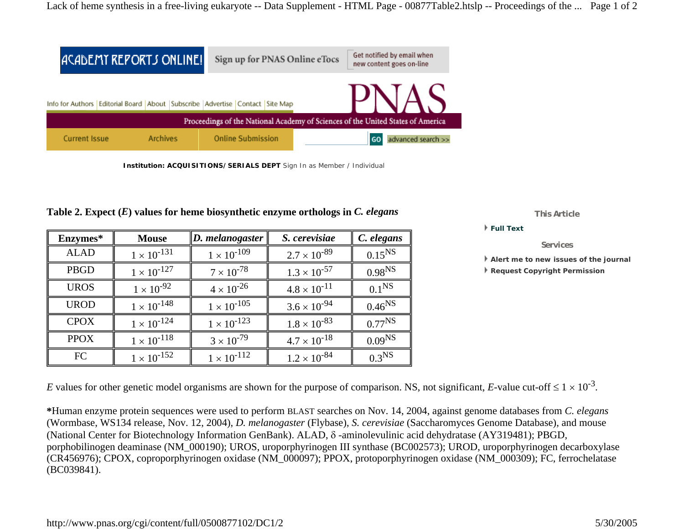|                                                                                 | ACADEMY REPORTS ONLINE! | Sign up for PNAS Online eTocs                                                           | Get notified by email when<br>new content goes on-line |  |  |  |
|---------------------------------------------------------------------------------|-------------------------|-----------------------------------------------------------------------------------------|--------------------------------------------------------|--|--|--|
|                                                                                 |                         | Info for Authors   Editorial Board   About   Subscribe   Advertise   Contact   Site Map | PNAS                                                   |  |  |  |
| Proceedings of the National Academy of Sciences of the United States of America |                         |                                                                                         |                                                        |  |  |  |
| <b>Current Issue</b>                                                            | <b>Archives</b>         | <b>Online Submission</b>                                                                | advanced search >><br><b>GO</b>                        |  |  |  |

**Institution: ACQUISITIONS/SERIALS DEPT** Sign In as Member / Individual

| Enzymes*    | <b>Mouse</b>         | $\ D.$ melanogaster  | S. cerevisiae         | C. elegans         |
|-------------|----------------------|----------------------|-----------------------|--------------------|
| <b>ALAD</b> | $1 \times 10^{-131}$ | $1 \times 10^{-109}$ | $2.7 \times 10^{-89}$ | $0.15^{NS}$        |
| PBGD        | $1 \times 10^{-127}$ | $7 \times 10^{-78}$  | $1.3 \times 10^{-57}$ | 0.98 <sup>NS</sup> |
| <b>UROS</b> | $1 \times 10^{-92}$  | $4 \times 10^{-26}$  | $4.8 \times 10^{-11}$ | 0.1 <sup>NS</sup>  |
| <b>UROD</b> | $1 \times 10^{-148}$ | $1 \times 10^{-105}$ | $3.6 \times 10^{-94}$ | $0.46^{NS}$        |
| <b>CPOX</b> | $1 \times 10^{-124}$ | $1 \times 10^{-123}$ | $1.8 \times 10^{-83}$ | $0.77^{NS}$        |
| <b>PPOX</b> | $1 \times 10^{-118}$ | $3 \times 10^{-79}$  | $4.7 \times 10^{-18}$ | 0.09 <sup>NS</sup> |
| FC          | $1 \times 10^{-152}$ | $1 \times 10^{-112}$ | $1.2 \times 10^{-84}$ | $0.3^{NS}$         |

**Table 2. Expect (***E***) values for heme biosynthetic enzyme orthologs in** *C. elegans*

*This Article*

**Full Text**

*Services*

**Alert me to new issues of the journal**

**Request Copyright Permission**

*E* values for other genetic model organisms are shown for the purpose of comparison. NS, not significant, *E*-value cut-off  $\leq 1 \times 10^{-3}$ .

**\***Human enzyme protein sequences were used to perform BLAST searches on Nov. 14, 2004, against genome databases from *C. elegans* (Wormbase, WS134 release, Nov. 12, 2004), *D. melanogaster* (Flybase), *S. cerevisiae* (Saccharomyces Genome Database), and mouse (National Center for Biotechnology Information GenBank). ALAD, δ -aminolevulinic acid dehydratase (AY319481); PBGD, porphobilinogen deaminase (NM\_000190); UROS, uroporphyrinogen III synthase (BC002573); UROD, uroporphyrinogen decarboxylase (CR456976); CPOX, coproporphyrinogen oxidase (NM\_000097); PPOX, protoporphyrinogen oxidase (NM\_000309); FC, ferrochelatase (BC039841).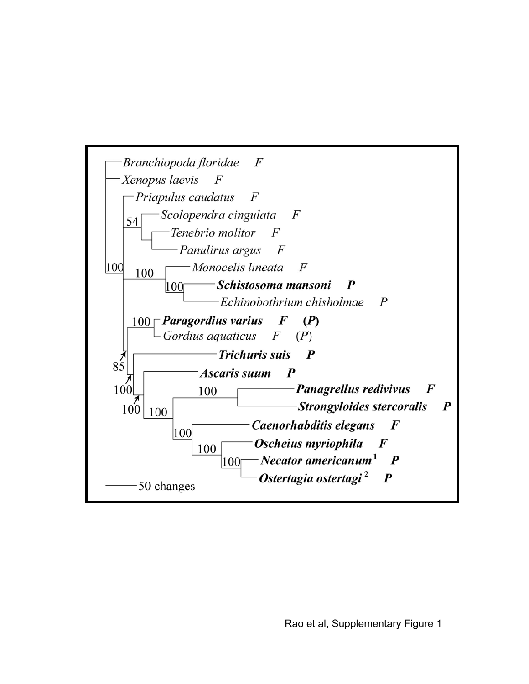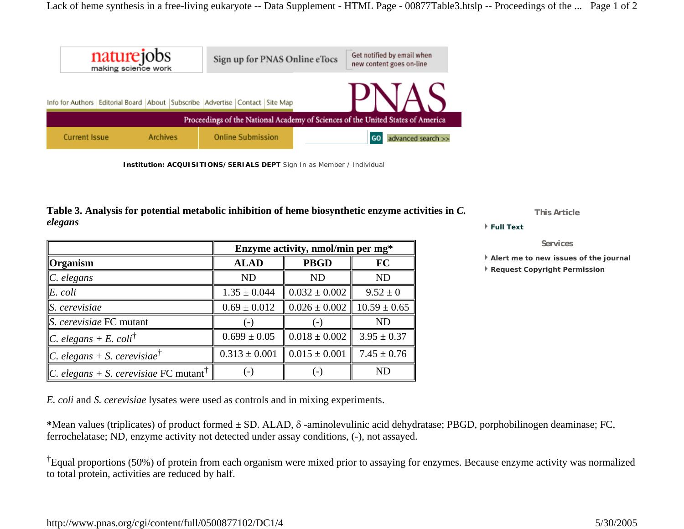| naturejobs                                                                      |                                                                      | Sign up for PNAS Online eTocs |  |  | Get notified by email when<br>new content goes on-line |  |  |                |                    |
|---------------------------------------------------------------------------------|----------------------------------------------------------------------|-------------------------------|--|--|--------------------------------------------------------|--|--|----------------|--------------------|
| Info for Authors                                                                | Editorial Board   About   Subscribe   Advertise   Contact   Site Map |                               |  |  |                                                        |  |  |                |                    |
| Proceedings of the National Academy of Sciences of the United States of America |                                                                      |                               |  |  |                                                        |  |  |                |                    |
| <b>Current Issue</b>                                                            |                                                                      | <b>Archives</b>               |  |  | <b>Online Submission</b>                               |  |  | G <sub>O</sub> | advanced search >> |

#### **Table 3. Analysis for potential metabolic inhibition of heme biosynthetic enzyme activities in** *C. elegans*

|                                                          | Enzyme activity, nmol/min per mg* |                                               |                  |  |  |
|----------------------------------------------------------|-----------------------------------|-----------------------------------------------|------------------|--|--|
| $\Gamma$ Organism                                        | <b>ALAD</b>                       | <b>PBGD</b>                                   | FC               |  |  |
| $\ C.$ elegans                                           | ND                                | ND                                            | <b>ND</b>        |  |  |
| E. coli                                                  | $1.35 \pm 0.044$                  | $\parallel 0.032 \pm 0.002$                   | $9.52 \pm 0$     |  |  |
| $S.$ cerevisiae                                          | $0.69 \pm 0.012$                  | $\parallel 0.026 \pm 0.002$                   | $10.59 \pm 0.65$ |  |  |
| $\parallel$ S. cerevisiae FC mutant                      |                                   |                                               | ND               |  |  |
| <i>C.</i> elegans + E. coli <sup>†</sup>                 | $0.699 \pm 0.05$                  | $\parallel 0.018 \pm 0.002$                   | $3.95 \pm 0.37$  |  |  |
| <i>C. elegans + S. cerevisiae</i> <sup>†</sup>           |                                   | $0.313 \pm 0.001$ $\parallel 0.015 \pm 0.001$ | 7.45 $\pm$ 0.76  |  |  |
| <i>C. elegans + S. cerevisiae</i> FC mutant <sup>T</sup> |                                   |                                               | <b>ND</b>        |  |  |

*This Article*

**Full Text**

*Services*

**Alert me to new issues of the journal**

**Request Copyright Permission**

*E. coli* and *S. cerevisiae* lysates were used as controls and in mixing experiments.

**\***Mean values (triplicates) of product formed ± SD. ALAD, δ -aminolevulinic acid dehydratase; PBGD, porphobilinogen deaminase; FC, ferrochelatase; ND, enzyme activity not detected under assay conditions, (-), not assayed.

†Equal proportions (50%) of protein from each organism were mixed prior to assaying for enzymes. Because enzyme activity was normalized to total protein, activities are reduced by half.

**Institution: ACQUISITIONS/SERIALS DEPT** Sign In as Member / Individual